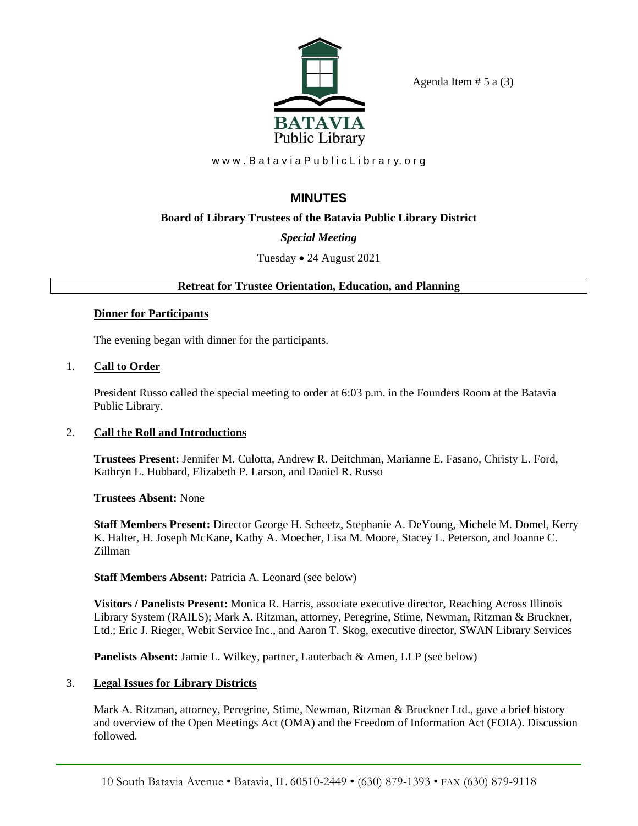

Agenda Item  $# 5$  a  $(3)$ 

www.Batavia Public Library.org

# **MINUTES**

# **Board of Library Trustees of the Batavia Public Library District**

# *Special Meeting*

# Tuesday • 24 August 2021

# **Retreat for Trustee Orientation, Education, and Planning**

## **Dinner for Participants**

The evening began with dinner for the participants.

# 1. **Call to Order**

President Russo called the special meeting to order at 6:03 p.m. in the Founders Room at the Batavia Public Library.

# 2. **Call the Roll and Introductions**

**Trustees Present:** Jennifer M. Culotta, Andrew R. Deitchman, Marianne E. Fasano, Christy L. Ford, Kathryn L. Hubbard, Elizabeth P. Larson, and Daniel R. Russo

**Trustees Absent:** None

**Staff Members Present:** Director George H. Scheetz, Stephanie A. DeYoung, Michele M. Domel, Kerry K. Halter, H. Joseph McKane, Kathy A. Moecher, Lisa M. Moore, Stacey L. Peterson, and Joanne C. Zillman

# **Staff Members Absent:** Patricia A. Leonard (see below)

**Visitors / Panelists Present:** Monica R. Harris, associate executive director, Reaching Across Illinois Library System (RAILS); Mark A. Ritzman, attorney, Peregrine, Stime, Newman, Ritzman & Bruckner, Ltd.; Eric J. Rieger, Webit Service Inc., and Aaron T. Skog, executive director, SWAN Library Services

**Panelists Absent:** Jamie L. Wilkey, partner, Lauterbach & Amen, LLP (see below)

# 3. **Legal Issues for Library Districts**

Mark A. Ritzman, attorney, Peregrine, Stime, Newman, Ritzman & Bruckner Ltd., gave a brief history and overview of the Open Meetings Act (OMA) and the Freedom of Information Act (FOIA). Discussion followed.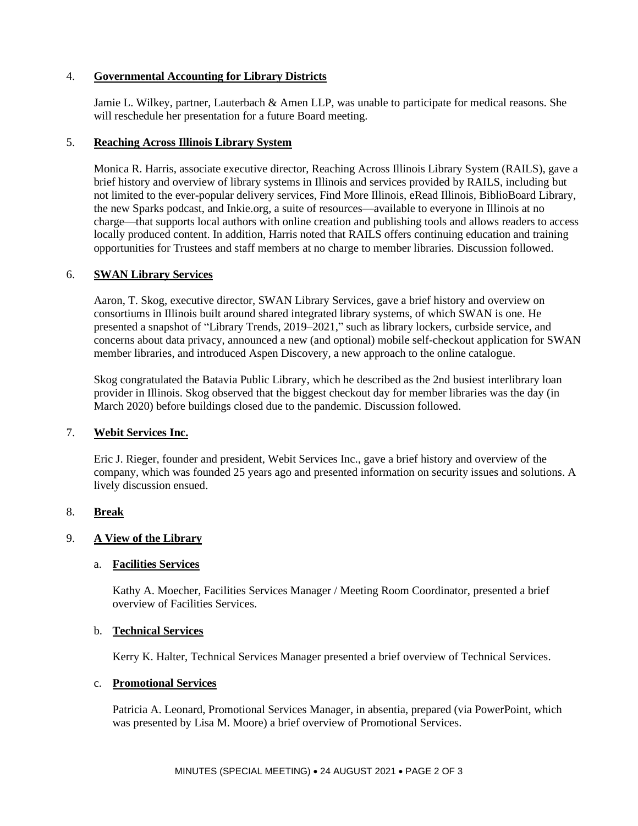#### 4. **Governmental Accounting for Library Districts**

Jamie L. Wilkey, partner, Lauterbach & Amen LLP, was unable to participate for medical reasons. She will reschedule her presentation for a future Board meeting.

#### 5. **Reaching Across Illinois Library System**

Monica R. Harris, associate executive director, Reaching Across Illinois Library System (RAILS), gave a brief history and overview of library systems in Illinois and services provided by RAILS, including but not limited to the ever-popular delivery services, Find More Illinois, eRead Illinois, BiblioBoard Library, the new Sparks podcast, and Inkie.org, a suite of resources—available to everyone in Illinois at no charge—that supports local authors with online creation and publishing tools and allows readers to access locally produced content. In addition, Harris noted that RAILS offers continuing education and training opportunities for Trustees and staff members at no charge to member libraries. Discussion followed.

#### 6. **SWAN Library Services**

Aaron, T. Skog, executive director, SWAN Library Services, gave a brief history and overview on consortiums in Illinois built around shared integrated library systems, of which SWAN is one. He presented a snapshot of "Library Trends, 2019–2021," such as library lockers, curbside service, and concerns about data privacy, announced a new (and optional) mobile self-checkout application for SWAN member libraries, and introduced Aspen Discovery, a new approach to the online catalogue.

Skog congratulated the Batavia Public Library, which he described as the 2nd busiest interlibrary loan provider in Illinois. Skog observed that the biggest checkout day for member libraries was the day (in March 2020) before buildings closed due to the pandemic. Discussion followed.

#### 7. **Webit Services Inc.**

Eric J. Rieger, founder and president, Webit Services Inc., gave a brief history and overview of the company, which was founded 25 years ago and presented information on security issues and solutions. A lively discussion ensued.

## 8. **Break**

## 9. **A View of the Library**

#### a. **Facilities Services**

Kathy A. Moecher, Facilities Services Manager / Meeting Room Coordinator, presented a brief overview of Facilities Services.

#### b. **Technical Services**

Kerry K. Halter, Technical Services Manager presented a brief overview of Technical Services.

#### c. **Promotional Services**

Patricia A. Leonard, Promotional Services Manager, in absentia, prepared (via PowerPoint, which was presented by Lisa M. Moore) a brief overview of Promotional Services.